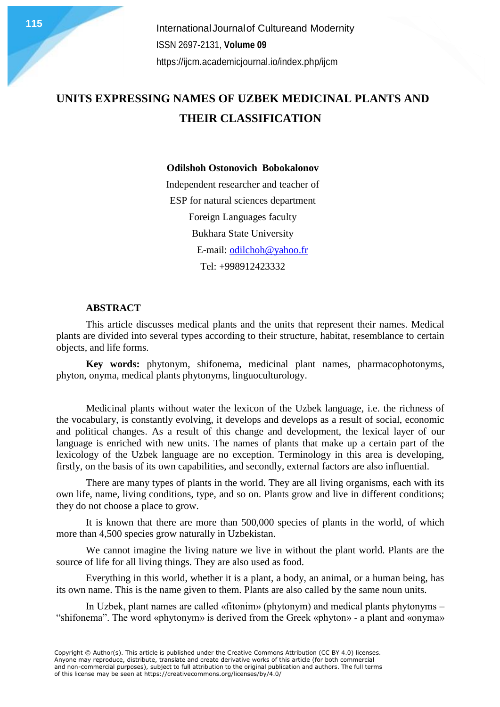**115** International Journal of Cultureand Modernity ISSN 2697-2131, **Volume 09** <https://ijcm.academicjournal.io/index.php/ijcm>

## **UNITS EXPRESSING NAMES OF UZBEK MEDICINAL PLANTS AND THEIR CLASSIFICATION**

#### **Odilshoh Ostonovich Bobokalonov**

Independent researcher and teacher of ESP for natural sciences department Foreign Languages faculty Bukhara State University E-mail: [odilchoh@yahoo.fr](mailto:odilchoh@yahoo.fr) Tel: +998912423332

### **ABSTRACT**

This article discusses medical plants and the units that represent their names. Medical plants are divided into several types according to their structure, habitat, resemblance to certain objects, and life forms.

**Key words:** phytonym, shifonema, medicinal plant names, pharmacophotonyms, phyton, onyma, medical plants phytonyms, linguoculturology.

Medicinal plants without water the lexicon of the Uzbek language, i.e. the richness of the vocabulary, is constantly evolving, it develops and develops as a result of social, economic and political changes. As a result of this change and development, the lexical layer of our language is enriched with new units. The names of plants that make up a certain part of the lexicology of the Uzbek language are no exception. Terminology in this area is developing, firstly, on the basis of its own capabilities, and secondly, external factors are also influential.

There are many types of plants in the world. They are all living organisms, each with its own life, name, living conditions, type, and so on. Plants grow and live in different conditions; they do not choose a place to grow.

It is known that there are more than 500,000 species of plants in the world, of which more than 4,500 species grow naturally in Uzbekistan.

We cannot imagine the living nature we live in without the plant world. Plants are the source of life for all living things. They are also used as food.

Everything in this world, whether it is a plant, a body, an animal, or a human being, has its own name. This is the name given to them. Plants are also called by the same noun units.

In Uzbek, plant names are called «fitonim» (phytonym) and medical plants phytonyms – "shifonema". The word «phytonym» is derived from the Greek «phyton» - a plant and «onyma»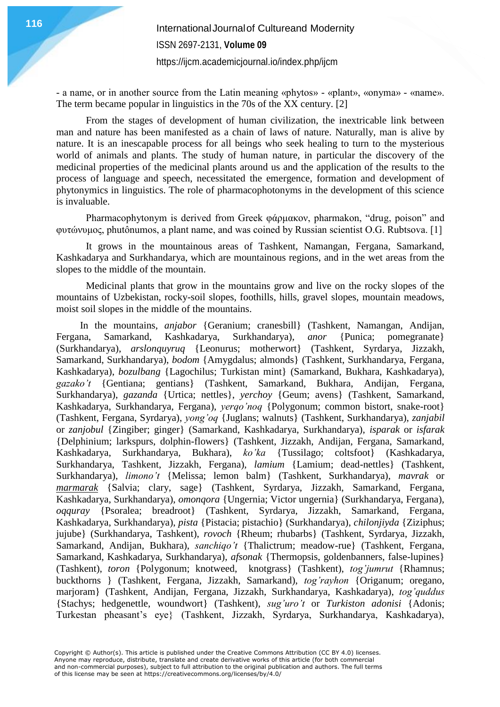<https://ijcm.academicjournal.io/index.php/ijcm>

- a name, or in another source from the Latin meaning «phytos» - «plant», «onyma» - «name». The term became popular in linguistics in the 70s of the XX century. [2]

From the stages of development of human civilization, the inextricable link between man and nature has been manifested as a chain of laws of nature. Naturally, man is alive by nature. It is an inescapable process for all beings who seek healing to turn to the mysterious world of animals and plants. The study of human nature, in particular the discovery of the medicinal properties of the medicinal plants around us and the application of the results to the process of language and speech, necessitated the emergence, formation and development of phytonymics in linguistics. The role of pharmacophotonyms in the development of this science is invaluable.

Pharmacophytonym is derived from Greek φάρμακον, pharmakon, "drug, poison" and φυτώνυμος, phutônumos, a plant name, and was coined by Russian scientist O.G. Rubtsova. [1]

It grows in the mountainous areas of Tashkent, Namangan, Fergana, Samarkand, Kashkadarya and Surkhandarya, which are mountainous regions, and in the wet areas from the slopes to the middle of the mountain.

Medicinal plants that grow in the mountains grow and live on the rocky slopes of the mountains of Uzbekistan, rocky-soil slopes, foothills, hills, gravel slopes, mountain meadows, moist soil slopes in the middle of the mountains.

In the mountains, *anjabor* {Geranium; cranesbill} (Tashkent, Namangan, Andijan, Fergana, Samarkand, Kashkadarya, Surkhandarya), *anor* {Punica; pomegranate} (Surkhandarya), *arslonquyruq* {Leonurus; motherwort} (Tashkent, Syrdarya, Jizzakh, Samarkand, Surkhandarya), *bodom* {Amygdalus; almonds} (Tashkent, Surkhandarya, Fergana, Kashkadarya), *bozulbang* {Lagochilus; Turkistan mint} (Samarkand, Bukhara, Kashkadarya), *gazako't* {Gentiana; gentians} (Tashkent, Samarkand, Bukhara, Andijan, Fergana, Surkhandarya), *gazanda* {Urtica; nettles}, *yerchoy* {Geum; avens} (Tashkent, Samarkand, Kashkadarya, Surkhandarya, Fergana), *yerqo'noq* {Polygonum; common bistort, snake-root} (Tashkent, Fergana, Syrdarya), *yong'oq* {Juglans; walnuts} (Tashkent, Surkhandarya), *zanjabil* or *zanjobul* {Zingiber; ginger} (Samarkand, Kashkadarya, Surkhandarya), *isparak* or *isfarak* {Delphinium; larkspurs, dolphin-flowers} (Tashkent, Jizzakh, Andijan, Fergana, Samarkand, Kashkadarya, Surkhandarya, Bukhara), *ko'ka* {Tussilago; coltsfoot} (Kashkadarya, Surkhandarya, Tashkent, Jizzakh, Fergana), *lamium* {Lamium; dead-nettles} (Tashkent, Surkhandarya), *limono't* {Melissa; lemon balm} (Tashkent, Surkhandarya), *mavrak* or *marmarak* {Salvia; clary, sage} (Tashkent, Syrdarya, Jizzakh, Samarkand, Fergana, Kashkadarya, Surkhandarya), *omonqora* {Ungernia; Victor ungernia} (Surkhandarya, Fergana), *oqquray* {Psoralea; breadroot} (Tashkent, Syrdarya, Jizzakh, Samarkand, Fergana, Kashkadarya, Surkhandarya), *pista* {Pistacia; pistachio} (Surkhandarya), *chilonjiyda* {Ziziphus; jujube} (Surkhandarya, Tashkent), *rovoch* {Rheum; rhubarbs} (Tashkent, Syrdarya, Jizzakh, Samarkand, Andijan, Bukhara), *sanchiqo't* {Thalictrum; meadow-rue} (Tashkent, Fergana, Samarkand, Kashkadarya, Surkhandarya), *afsonak* {Thermopsis, goldenbanners, false-lupines} (Tashkent), *toron* {Polygonum; knotweed, knotgrass} (Tashkent), *tog'jumrut* {Rhamnus; buckthorns } (Tashkent, Fergana, Jizzakh, Samarkand), *tog'rayhon* {Origanum; oregano, marjoram} (Tashkent, Andijan, Fergana, Jizzakh, Surkhandarya, Kashkadarya), *tog'quddus* {Stachys; hedgenettle, woundwort} (Tashkent), *sug'uro't* or *Turkiston adonisi* {Adonis; Turkestan pheasant's eye} (Tashkent, Jizzakh, Syrdarya, Surkhandarya, Kashkadarya),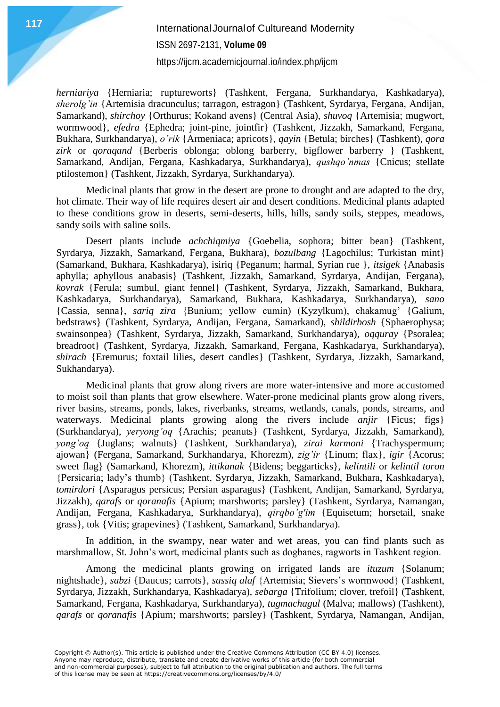# **117** International Journal of Cultureand Modernity ISSN 2697-2131, **Volume 09**

<https://ijcm.academicjournal.io/index.php/ijcm>

*herniariya* {Herniaria; ruptureworts} (Tashkent, Fergana, Surkhandarya, Kashkadarya), *sherolg'in* {Artemisia dracunculus; tarragon, estragon} (Tashkent, Syrdarya, Fergana, Andijan, Samarkand), *shirchoy* {Orthurus; Kokand avens} (Central Asia), *shuvoq* {Artemisia; mugwort, wormwood}, *efedra* {Ephedra; joint-pine, jointfir} (Tashkent, Jizzakh, Samarkand, Fergana, Bukhara, Surkhandarya), *o'rik* {Armeniaca; apricots}, *qayin* {Betula; birches} (Tashkent), *qora zirk* or *qoraqand* {Berberis oblonga; oblong barberry, bigflower barberry } (Tashkent, Samarkand, Andijan, Fergana, Kashkadarya, Surkhandarya), *qushqo'nmas* {Cnicus; stellate ptilostemon} (Tashkent, Jizzakh, Syrdarya, Surkhandarya).

Medicinal plants that grow in the desert are prone to drought and are adapted to the dry, hot climate. Their way of life requires desert air and desert conditions. Medicinal plants adapted to these conditions grow in deserts, semi-deserts, hills, hills, sandy soils, steppes, meadows, sandy soils with saline soils.

Desert plants include *achchiqmiya* {Goebelia, sophora; bitter bean} (Tashkent, Syrdarya, Jizzakh, Samarkand, Fergana, Bukhara), *bozulbang* {Lagochilus; Turkistan mint} (Samarkand, Bukhara, Kashkadarya), isiriq {Peganum; harmal, Syrian rue }, *itsigek* {Anabasis aphylla; aphyllous anabasis} (Tashkent, Jizzakh, Samarkand, Syrdarya, Andijan, Fergana), *kovrak* {Ferula; sumbul, giant fennel} (Tashkent, Syrdarya, Jizzakh, Samarkand, Bukhara, Kashkadarya, Surkhandarya), Samarkand, Bukhara, Kashkadarya, Surkhandarya), *sano* {Cassia, senna}, *sariq zira* {Bunium; yellow cumin) (Kyzylkum), chakamug' {Galium, bedstraws} (Tashkent, Syrdarya, Andijan, Fergana, Samarkand), *shildirbosh* {Sphaerophysa; swainsonpea} (Tashkent, Syrdarya, Jizzakh, Samarkand, Surkhandarya), *oqquray* {Psoralea; breadroot} (Tashkent, Syrdarya, Jizzakh, Samarkand, Fergana, Kashkadarya, Surkhandarya), *shirach* {Eremurus; foxtail lilies, desert candles} (Tashkent, Syrdarya, Jizzakh, Samarkand, Sukhandarya).

Medicinal plants that grow along rivers are more water-intensive and more accustomed to moist soil than plants that grow elsewhere. Water-prone medicinal plants grow along rivers, river basins, streams, ponds, lakes, riverbanks, streams, wetlands, canals, ponds, streams, and waterways. Medicinal plants growing along the rivers include *anjir* {Ficus; figs} (Surkhandarya), *yeryong'oq* {Arachis; peanuts} (Tashkent, Syrdarya, Jizzakh, Samarkand), *yong'oq* {Juglans; walnuts} (Tashkent, Surkhandarya), *zirai karmoni* {Trachyspermum; ajowan} (Fergana, Samarkand, Surkhandarya, Khorezm), *zig'ir* {Linum; flax}, *igir* {Acorus; sweet flag} (Samarkand, Khorezm), *ittikanak* {Bidens; beggarticks}, *kelintili* or *kelintil toron* {Persicaria; lady's thumb} (Tashkent, Syrdarya, Jizzakh, Samarkand, Bukhara, Kashkadarya), *tomirdori* {Asparagus persicus; Persian asparagus} (Tashkent, Andijan, Samarkand, Syrdarya, Jizzakh), *qarafs* or *qoranafis* {Apium; marshworts; parsley} (Tashkent, Syrdarya, Namangan, Andijan, Fergana, Kashkadarya, Surkhandarya), *qirqbo'g'im* {Equisetum; horsetail, snake grass}, tok {Vitis; grapevines} (Tashkent, Samarkand, Surkhandarya).

In addition, in the swampy, near water and wet areas, you can find plants such as marshmallow, St. John's wort, medicinal plants such as dogbanes, ragworts in Tashkent region.

Among the medicinal plants growing on irrigated lands are *ituzum* {Solanum; nightshade}, *sabzi* {Daucus; carrots}, *sassiq alaf* {Artemisia; Sievers's wormwood} (Tashkent, Syrdarya, Jizzakh, Surkhandarya, Kashkadarya), *sebarga* {Trifolium; clover, trefoil} (Tashkent, Samarkand, Fergana, Kashkadarya, Surkhandarya), *tugmachagul* (Malva; mallows) (Tashkent), *qarafs* or *qoranafis* {Apium; marshworts; parsley} (Tashkent, Syrdarya, Namangan, Andijan,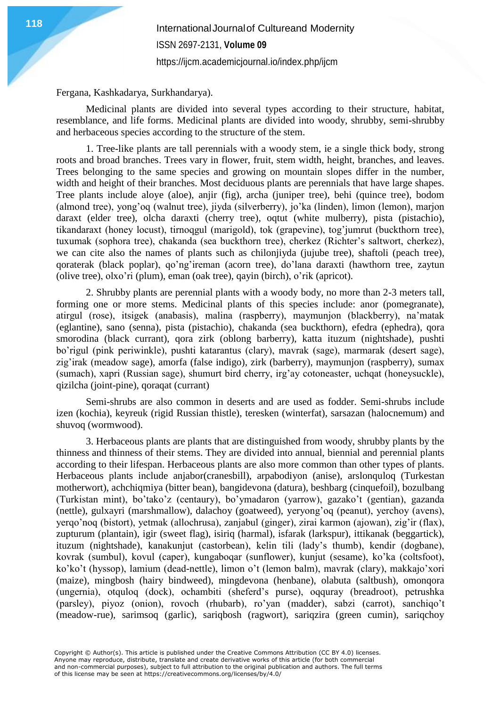**118** International Journal of Cultureand Modernity ISSN 2697-2131, **Volume 09** <https://ijcm.academicjournal.io/index.php/ijcm>

Fergana, Kashkadarya, Surkhandarya).

Medicinal plants are divided into several types according to their structure, habitat, resemblance, and life forms. Medicinal plants are divided into woody, shrubby, semi-shrubby and herbaceous species according to the structure of the stem.

1. Tree-like plants are tall perennials with a woody stem, ie a single thick body, strong roots and broad branches. Trees vary in flower, fruit, stem width, height, branches, and leaves. Trees belonging to the same species and growing on mountain slopes differ in the number, width and height of their branches. Most deciduous plants are perennials that have large shapes. Tree plants include aloye (aloe), anjir (fig), archa (juniper tree), behi (quince tree), bodom (almond tree), yong'oq (walnut tree), jiyda (silverberry), jo'ka (linden), limon (lemon), marjon daraxt (elder tree), olcha daraxti (cherry tree), oqtut (white mulberry), pista (pistachio), tikandaraxt (honey locust), tirnoqgul (marigold), tok (grapevine), tog'jumrut (buckthorn tree), tuxumak (sophora tree), chakanda (sea buckthorn tree), cherkez (Richter's saltwort, cherkez), we can cite also the names of plants such as chilonjiyda (jujube tree), shaftoli (peach tree), qoraterak (black poplar), qo'ng'ireman (acorn tree), do'lana daraxti (hawthorn tree, zaytun (olive tree), olxo'ri (plum), eman (oak tree), qayin (birch), o'rik (apricot).

2. Shrubby plants are perennial plants with a woody body, no more than 2-3 meters tall, forming one or more stems. Medicinal plants of this species include: anor (pomegranate), atirgul (rose), itsigek (anabasis), malina (raspberry), maymunjon (blackberry), na'matak (eglantine), sano (senna), pista (pistachio), chakanda (sea buckthorn), efedra (ephedra), qora smorodina (black currant), qora zirk (oblong barberry), katta ituzum (nightshade), pushti bo'rigul (pink periwinkle), pushti katarantus (clary), mavrak (sage), marmarak (desert sage), zig'irak (meadow sage), amorfa (false indigo), zirk (barberry), maymunjon (raspberry), sumax (sumach), xapri (Russian sage), shumurt bird cherry, irg'ay cotoneaster, uchqat (honeysuckle), qizilcha (joint-pine), qoraqat (currant)

Semi-shrubs are also common in deserts and are used as fodder. Semi-shrubs include izen (kochia), keyreuk (rigid Russian thistle), teresken (winterfat), sarsazan (halocnemum) and shuvoq (wormwood).

3. Herbaceous plants are plants that are distinguished from woody, shrubby plants by the thinness and thinness of their stems. They are divided into annual, biennial and perennial plants according to their lifespan. Herbaceous plants are also more common than other types of plants. Herbaceous plants include anjabor(cranesbill), arpabodiyon (anise), arslonquloq (Turkestan motherwort), achchiqmiya (bitter bean), bangidevona (datura), beshbarg (cinquefoil), bozulbang (Turkistan mint), bo'tako'z (centaury), bo'ymadaron (yarrow), gazako't (gentian), gazanda (nettle), gulxayri (marshmallow), dalachoy (goatweed), yeryong'oq (peanut), yerchoy (avens), yerqo'noq (bistort), yetmak (allochrusa), zanjabul (ginger), zirai karmon (ajowan), zig'ir (flax), zupturum (plantain), igir (sweet flag), isiriq (harmal), isfarak (larkspur), ittikanak (beggartick), ituzum (nightshade), kanakunjut (castorbean), kelin tili (lady's thumb), kendir (dogbane), kovrak (sumbul), kovul (caper), kungaboqar (sunflower), kunjut (sesame), ko'ka (coltsfoot), ko'ko't (hyssop), lamium (dead-nettle), limon o't (lemon balm), mavrak (clary), makkajo'xori (maize), mingbosh (hairy bindweed), mingdevona (henbane), olabuta (saltbush), omonqora (ungernia), otquloq (dock), ochambiti (sheferd's purse), oqquray (breadroot), petrushka (parsley), piyoz (onion), rovoch (rhubarb), ro'yan (madder), sabzi (carrot), sanchiqo't (meadow-rue), sarimsoq (garlic), sariqbosh (ragwort), sariqzira (green cumin), sariqchoy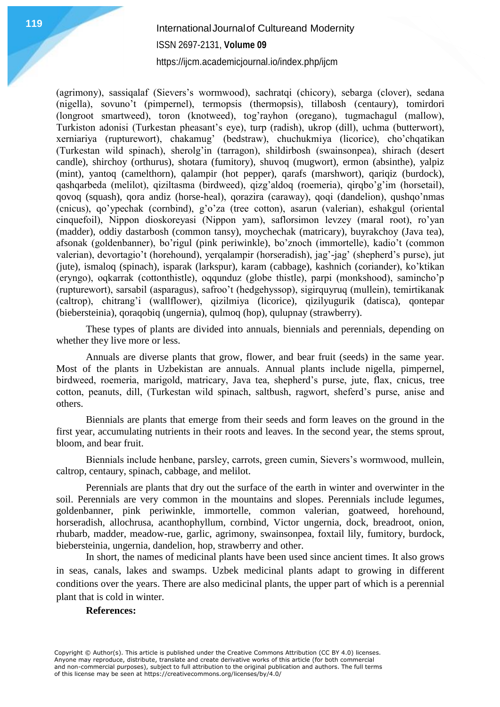### **119** International Journal of Cultureand Modernity ISSN 2697-2131, **Volume 09**

<https://ijcm.academicjournal.io/index.php/ijcm>

(agrimony), sassiqalaf (Sievers's wormwood), sachratqi (chicory), sebarga (clover), sedana (nigella), sovuno't (pimpernel), termopsis (thermopsis), tillabosh (centaury), tomirdori (longroot smartweed), toron (knotweed), tog'rayhon (oregano), tugmachagul (mallow), Turkiston adonisi (Turkestan pheasant's eye), turp (radish), ukrop (dill), uchma (butterwort), xerniariya (rupturewort), chakamug' (bedstraw), chuchukmiya (licorice), cho'chqatikan (Turkestan wild spinach), sherolg'in (tarragon), shildirbosh (swainsonpea), shirach (desert candle), shirchoy (orthurus), shotara (fumitory), shuvoq (mugwort), ermon (absinthe), yalpiz (mint), yantoq (camelthorn), qalampir (hot pepper), qarafs (marshwort), qariqiz (burdock), qashqarbeda (melilot), qiziltasma (birdweed), qizg'aldoq (roemeria), qirqbo'g'im (horsetail), qovoq (squash), qora andiz (horse-heal), qorazira (caraway), qoqi (dandelion), qushqo'nmas (cnicus), qo'ypechak (cornbind), g'o'za (tree cotton), asarun (valerian), eshakgul (oriental cinquefoil), Nippon dioskoreyasi (Nippon yam), saflorsimon levzey (maral root), ro'yan (madder), oddiy dastarbosh (common tansy), moychechak (matricary), buyrakchoy (Java tea), afsonak (goldenbanner), bo'rigul (pink periwinkle), bo'znoch (immortelle), kadio't (common valerian), devortagio't (horehound), yerqalampir (horseradish), jag'-jag' (shepherd's purse), jut (jute), ismaloq (spinach), isparak (larkspur), karam (cabbage), kashnich (coriander), ko'ktikan (eryngo), oqkarrak (cottonthistle), oqqunduz (globe thistle), parpi (monkshood), samincho'p (rupturewort), sarsabil (asparagus), safroo't (hedgehyssop), sigirquyruq (mullein), temirtikanak (caltrop), chitrang'i (wallflower), qizilmiya (licorice), qizilyugurik (datisca), qontepar (biebersteinia), qoraqobiq (ungernia), qulmoq (hop), qulupnay (strawberry).

These types of plants are divided into annuals, biennials and perennials, depending on whether they live more or less.

Annuals are diverse plants that grow, flower, and bear fruit (seeds) in the same year. Most of the plants in Uzbekistan are annuals. Annual plants include nigella, pimpernel, birdweed, roemeria, marigold, matricary, Java tea, shepherd's purse, jute, flax, cnicus, tree cotton, peanuts, dill, (Turkestan wild spinach, saltbush, ragwort, sheferd's purse, anise and others.

Biennials are plants that emerge from their seeds and form leaves on the ground in the first year, accumulating nutrients in their roots and leaves. In the second year, the stems sprout, bloom, and bear fruit.

Biennials include henbane, parsley, carrots, green cumin, Sievers's wormwood, mullein, caltrop, centaury, spinach, cabbage, and melilot.

Perennials are plants that dry out the surface of the earth in winter and overwinter in the soil. Perennials are very common in the mountains and slopes. Perennials include legumes, goldenbanner, pink periwinkle, immortelle, common valerian, goatweed, horehound, horseradish, allochrusa, acanthophyllum, cornbind, Victor ungernia, dock, breadroot, onion, rhubarb, madder, meadow-rue, garlic, agrimony, swainsonpea, foxtail lily, fumitory, burdock, biebersteinia, ungernia, dandelion, hop, strawberry and other.

In short, the names of medicinal plants have been used since ancient times. It also grows in seas, canals, lakes and swamps. Uzbek medicinal plants adapt to growing in different conditions over the years. There are also medicinal plants, the upper part of which is a perennial plant that is cold in winter.

#### **References:**

Copyright © Author(s). This article is published under the Creative Commons Attribution (CC BY 4.0) licenses. Anyone may reproduce, distribute, translate and create derivative works of this article (for both commercial and non-commercial purposes), subject to full attribution to the original publication and authors. The full terms of this license may be seen at https://creativecommons.org/licenses/by/4.0/